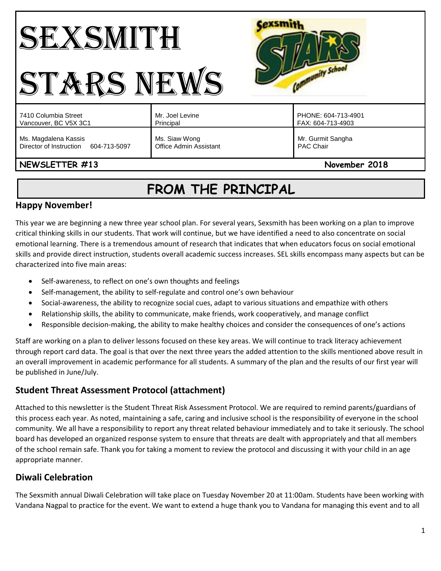# SEXSMITH STARS NEWS



| 7410 Columbia Street                                            | Mr. Joel Levine                                | PHONE: 604-713-4901                   |
|-----------------------------------------------------------------|------------------------------------------------|---------------------------------------|
| Vancouver, BC V5X 3C1                                           | Principal                                      | FAX: 604-713-4903                     |
| Ms. Magdalena Kassis<br>Director of Instruction<br>604-713-5097 | Ms. Siaw Wong<br><b>Office Admin Assistant</b> | Mr. Gurmit Sangha<br><b>PAC Chair</b> |

## NEWSLETTER #13 November 2018

## **FROM THE PRINCIPAL**

## **Happy November!**

This year we are beginning a new three year school plan. For several years, Sexsmith has been working on a plan to improve critical thinking skills in our students. That work will continue, but we have identified a need to also concentrate on social emotional learning. There is a tremendous amount of research that indicates that when educators focus on social emotional skills and provide direct instruction, students overall academic success increases. SEL skills encompass many aspects but can be characterized into five main areas:

- Self-awareness, to reflect on one's own thoughts and feelings
- Self-management, the ability to self-regulate and control one's own behaviour
- Social-awareness, the ability to recognize social cues, adapt to various situations and empathize with others
- Relationship skills, the ability to communicate, make friends, work cooperatively, and manage conflict
- Responsible decision-making, the ability to make healthy choices and consider the consequences of one's actions

Staff are working on a plan to deliver lessons focused on these key areas. We will continue to track literacy achievement through report card data. The goal is that over the next three years the added attention to the skills mentioned above result in an overall improvement in academic performance for all students. A summary of the plan and the results of our first year will be published in June/July.

## **Student Threat Assessment Protocol (attachment)**

Attached to this newsletter is the Student Threat Risk Assessment Protocol. We are required to remind parents/guardians of this process each year. As noted, maintaining a safe, caring and inclusive school is the responsibility of everyone in the school community. We all have a responsibility to report any threat related behaviour immediately and to take it seriously. The school board has developed an organized response system to ensure that threats are dealt with appropriately and that all members of the school remain safe. Thank you for taking a moment to review the protocol and discussing it with your child in an age appropriate manner.

## **Diwali Celebration**

The Sexsmith annual Diwali Celebration will take place on Tuesday November 20 at 11:00am. Students have been working with Vandana Nagpal to practice for the event. We want to extend a huge thank you to Vandana for managing this event and to all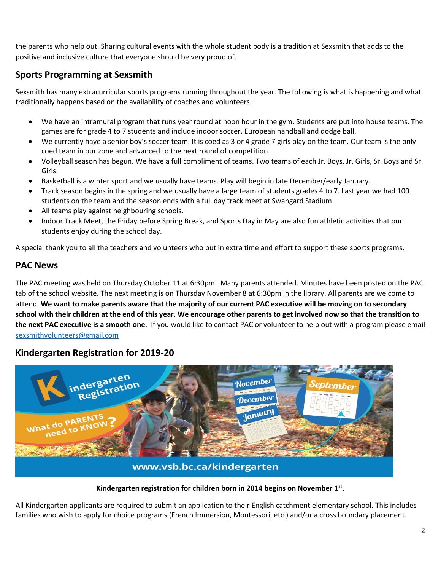the parents who help out. Sharing cultural events with the whole student body is a tradition at Sexsmith that adds to the positive and inclusive culture that everyone should be very proud of.

## **Sports Programming at Sexsmith**

Sexsmith has many extracurricular sports programs running throughout the year. The following is what is happening and what traditionally happens based on the availability of coaches and volunteers.

- We have an intramural program that runs year round at noon hour in the gym. Students are put into house teams. The games are for grade 4 to 7 students and include indoor soccer, European handball and dodge ball.
- We currently have a senior boy's soccer team. It is coed as 3 or 4 grade 7 girls play on the team. Our team is the only coed team in our zone and advanced to the next round of competition.
- Volleyball season has begun. We have a full compliment of teams. Two teams of each Jr. Boys, Jr. Girls, Sr. Boys and Sr. Girls.
- Basketball is a winter sport and we usually have teams. Play will begin in late December/early January.
- Track season begins in the spring and we usually have a large team of students grades 4 to 7. Last year we had 100 students on the team and the season ends with a full day track meet at Swangard Stadium.
- All teams play against neighbouring schools.
- Indoor Track Meet, the Friday before Spring Break, and Sports Day in May are also fun athletic activities that our students enjoy during the school day.

A special thank you to all the teachers and volunteers who put in extra time and effort to support these sports programs.

## **PAC News**

The PAC meeting was held on Thursday October 11 at 6:30pm. Many parents attended. Minutes have been posted on the PAC tab of the school website. The next meeting is on Thursday November 8 at 6:30pm in the library. All parents are welcome to attend. **We want to make parents aware that the majority of our current PAC executive will be moving on to secondary school with their children at the end of this year. We encourage other parents to get involved now so that the transition to the next PAC executive is a smooth one.** If you would like to contact PAC or volunteer to help out with a program please email [sexsmithvolunteers@gmail.com](mailto:sexsmithvolunteers@gmail.com)

## **Kindergarten Registration for 2019-20**



#### **Kindergarten registration for children born in 2014 begins on November 1st .**

All Kindergarten applicants are required to submit an application to their English catchment elementary school. This includes families who wish to apply for choice programs (French Immersion, Montessori, etc.) and/or a cross boundary placement.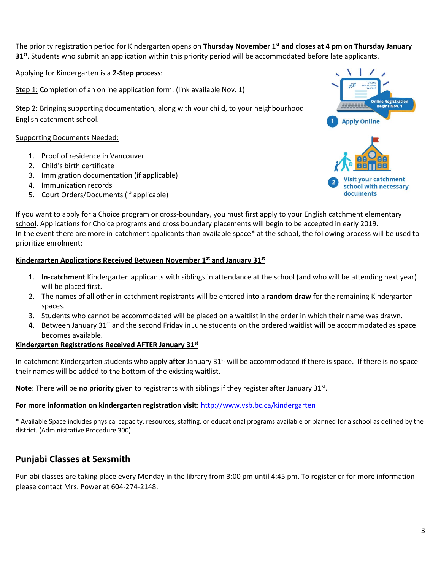The priority registration period for Kindergarten opens on **Thursday November 1st and closes at 4 pm on Thursday January 31st**. Students who submit an application within this priority period will be accommodated before late applicants.

Applying for Kindergarten is a **2-Step process**:

Step 1: Completion of an online application form. (link available Nov. 1)

Step 2: Bringing supporting documentation, along with your child, to your neighbourhood English catchment school.

#### Supporting Documents Needed:

- 1. Proof of residence in Vancouver
- 2. Child's birth certificate
- 3. Immigration documentation (if applicable)
- 4. Immunization records
- 5. Court Orders/Documents (if applicable)



If you want to apply for a Choice program or cross-boundary, you must first apply to your English catchment elementary school. Applications for Choice programs and cross boundary placements will begin to be accepted in early 2019. In the event there are more in-catchment applicants than available space\* at the school, the following process will be used to prioritize enrolment:

#### **Kindergarten Applications Received Between November 1st and January 31st**

- 1. **In-catchment** Kindergarten applicants with siblings in attendance at the school (and who will be attending next year) will be placed first.
- 2. The names of all other in-catchment registrants will be entered into a **random draw** for the remaining Kindergarten spaces.
- 3. Students who cannot be accommodated will be placed on a waitlist in the order in which their name was drawn.
- **4.** Between January 31<sup>st</sup> and the second Friday in June students on the ordered waitlist will be accommodated as space becomes available.

#### **Kindergarten Registrations Received AFTER January 31st**

In-catchment Kindergarten students who apply **after** January 31st will be accommodated if there is space. If there is no space their names will be added to the bottom of the existing waitlist.

Note: There will be no priority given to registrants with siblings if they register after January 31st.

#### **For more information on kindergarten registration visit:** <http://www.vsb.bc.ca/kindergarten>

\* Available Space includes physical capacity, resources, staffing, or educational programs available or planned for a school as defined by the district. (Administrative Procedure 300)

## **Punjabi Classes at Sexsmith**

Punjabi classes are taking place every Monday in the library from 3:00 pm until 4:45 pm. To register or for more information please contact Mrs. Power at 604-274-2148.